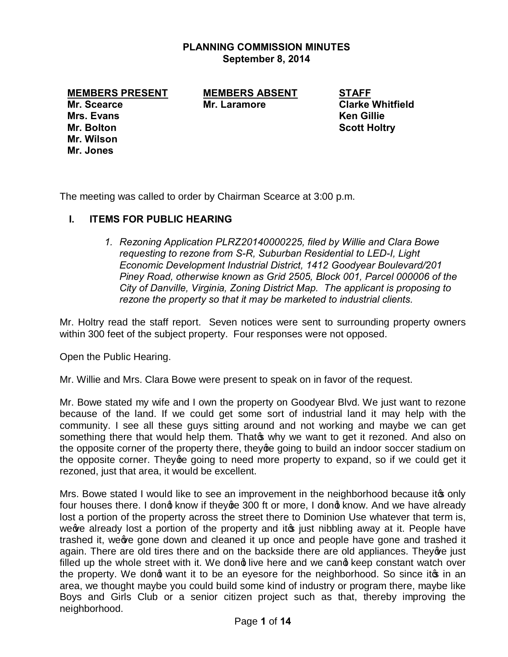#### **PLANNING COMMISSION MINUTES September 8, 2014**

**MEMBERS PRESENT MEMBERS ABSENT STAFF**

**Mrs. Evans Ken Gillie Mr. Bolton Scott Holtry Mr. Wilson Mr. Jones**

**Mr. Scearce Mr. Laramore Clarke Whitfield**

The meeting was called to order by Chairman Scearce at 3:00 p.m.

# **I. ITEMS FOR PUBLIC HEARING**

*1. Rezoning Application PLRZ20140000225, filed by Willie and Clara Bowe requesting to rezone from S-R, Suburban Residential to LED-I, Light Economic Development Industrial District, 1412 Goodyear Boulevard/201 Piney Road, otherwise known as Grid 2505, Block 001, Parcel 000006 of the City of Danville, Virginia, Zoning District Map. The applicant is proposing to rezone the property so that it may be marketed to industrial clients.*

Mr. Holtry read the staff report. Seven notices were sent to surrounding property owners within 300 feet of the subject property. Four responses were not opposed.

Open the Public Hearing.

Mr. Willie and Mrs. Clara Bowe were present to speak on in favor of the request.

Mr. Bowe stated my wife and I own the property on Goodyear Blvd. We just want to rezone because of the land. If we could get some sort of industrial land it may help with the community. I see all these guys sitting around and not working and maybe we can get something there that would help them. That of why we want to get it rezoned. And also on the opposite corner of the property there, they ge going to build an indoor soccer stadium on the opposite corner. They going to need more property to expand, so if we could get it rezoned, just that area, it would be excellent.

Mrs. Bowe stated I would like to see an improvement in the neighborhood because it only four houses there. I dong know if theyge 300 ft or more, I dong know. And we have already lost a portion of the property across the street there to Dominion Use whatever that term is, we already lost a portion of the property and it os just nibbling away at it. People have trashed it, we we gone down and cleaned it up once and people have gone and trashed it again. There are old tires there and on the backside there are old appliances. They ave just filled up the whole street with it. We dong live here and we cang keep constant watch over the property. We dong want it to be an eyesore for the neighborhood. So since ito in an area, we thought maybe you could build some kind of industry or program there, maybe like Boys and Girls Club or a senior citizen project such as that, thereby improving the neighborhood.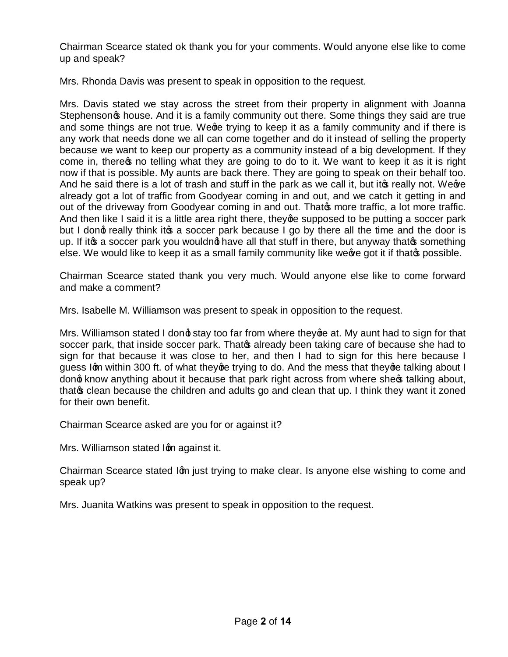Chairman Scearce stated ok thank you for your comments. Would anyone else like to come up and speak?

Mrs. Rhonda Davis was present to speak in opposition to the request.

Mrs. Davis stated we stay across the street from their property in alignment with Joanna Stephenson<sub>of</sub> house. And it is a family community out there. Some things they said are true and some things are not true. We ge trying to keep it as a family community and if there is any work that needs done we all can come together and do it instead of selling the property because we want to keep our property as a community instead of a big development. If they come in, there to no telling what they are going to do to it. We want to keep it as it is right now if that is possible. My aunts are back there. They are going to speak on their behalf too. And he said there is a lot of trash and stuff in the park as we call it, but it to really not. We we already got a lot of traffic from Goodyear coming in and out, and we catch it getting in and out of the driveway from Goodyear coming in and out. Thato more traffic, a lot more traffic. And then like I said it is a little area right there, they ge supposed to be putting a soccer park but I dong really think it a soccer park because I go by there all the time and the door is up. If it as a soccer park you wouldnot have all that stuff in there, but anyway that a something else. We would like to keep it as a small family community like we we got it if that the possible.

Chairman Scearce stated thank you very much. Would anyone else like to come forward and make a comment?

Mrs. Isabelle M. Williamson was present to speak in opposition to the request.

Mrs. Williamson stated I dong stay too far from where they ge at. My aunt had to sign for that soccer park, that inside soccer park. That already been taking care of because she had to sign for that because it was close to her, and then I had to sign for this here because I guess Igm within 300 ft. of what they ge trying to do. And the mess that they ge talking about I dond know anything about it because that park right across from where sheos talking about, that of clean because the children and adults go and clean that up. I think they want it zoned for their own benefit.

Chairman Scearce asked are you for or against it?

Mrs. Williamson stated Ign against it.

Chairman Scearce stated Ign just trying to make clear. Is anyone else wishing to come and speak up?

Mrs. Juanita Watkins was present to speak in opposition to the request.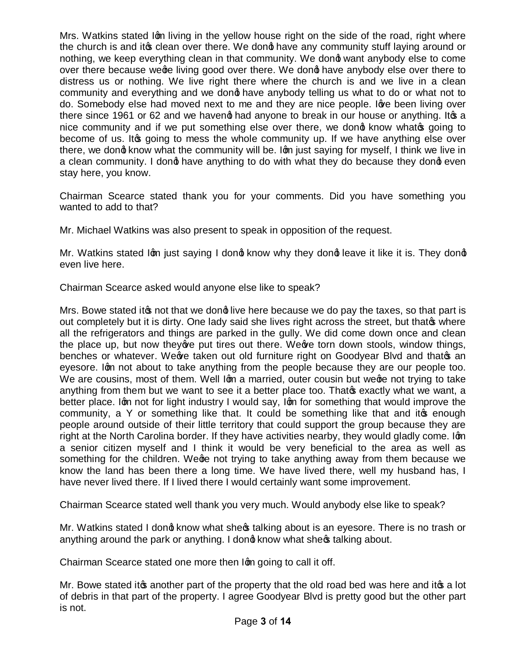Mrs. Watkins stated Ign living in the yellow house right on the side of the road, right where the church is and it the clean over there. We dong have any community stuff laying around or nothing, we keep everything clean in that community. We dong want anybody else to come over there because wege living good over there. We dong have anybody else over there to distress us or nothing. We live right there where the church is and we live in a clean community and everything and we dong have anybody telling us what to do or what not to do. Somebody else had moved next to me and they are nice people. Ig the been living over there since 1961 or 62 and we havend had anyone to break in our house or anything. It a nice community and if we put something else over there, we dong know whate going to become of us. It og going to mess the whole community up. If we have anything else over there, we dong know what the community will be. Ign just saying for myself, I think we live in a clean community. I dong have anything to do with what they do because they dong even stay here, you know.

Chairman Scearce stated thank you for your comments. Did you have something you wanted to add to that?

Mr. Michael Watkins was also present to speak in opposition of the request.

Mr. Watkins stated Ign just saying I dong know why they dong leave it like it is. They dong even live here.

Chairman Scearce asked would anyone else like to speak?

Mrs. Bowe stated it to not that we dong live here because we do pay the taxes, so that part is out completely but it is dirty. One lady said she lives right across the street, but thatos where all the refrigerators and things are parked in the gully. We did come down once and clean the place up, but now they are put tires out there. We are torn down stools, window things, benches or whatever. We we taken out old furniture right on Goodyear Blvd and that  $\infty$  an eyesore. Ign not about to take anything from the people because they are our people too. We are cousins, most of them. Well Ign a married, outer cousin but wege not trying to take anything from them but we want to see it a better place too. That the exactly what we want, a better place. Ign not for light industry I would say, Ign for something that would improve the community, a Y or something like that. It could be something like that and it the enough people around outside of their little territory that could support the group because they are right at the North Carolina border. If they have activities nearby, they would gladly come. Ign a senior citizen myself and I think it would be very beneficial to the area as well as something for the children. Wege not trying to take anything away from them because we know the land has been there a long time. We have lived there, well my husband has, I have never lived there. If I lived there I would certainly want some improvement.

Chairman Scearce stated well thank you very much. Would anybody else like to speak?

Mr. Watkins stated I dong know what shegs talking about is an eyesore. There is no trash or anything around the park or anything. I dong know what sheos talking about.

Chairman Scearce stated one more then Ign going to call it off.

Mr. Bowe stated it as another part of the property that the old road bed was here and it as a lot of debris in that part of the property. I agree Goodyear Blvd is pretty good but the other part is not.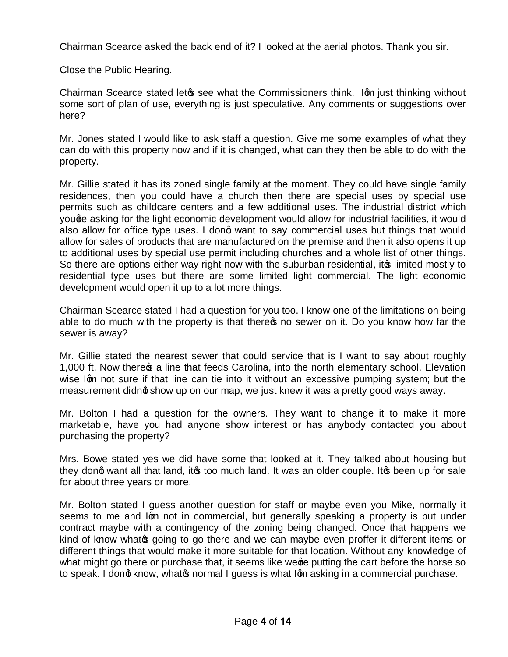Chairman Scearce asked the back end of it? I looked at the aerial photos. Thank you sir.

Close the Public Hearing.

Chairman Scearce stated let of see what the Commissioners think. Iom just thinking without some sort of plan of use, everything is just speculative. Any comments or suggestions over here?

Mr. Jones stated I would like to ask staff a question. Give me some examples of what they can do with this property now and if it is changed, what can they then be able to do with the property.

Mr. Gillie stated it has its zoned single family at the moment. They could have single family residences, then you could have a church then there are special uses by special use permits such as childcare centers and a few additional uses. The industrial district which youge asking for the light economic development would allow for industrial facilities, it would also allow for office type uses. I dong want to say commercial uses but things that would allow for sales of products that are manufactured on the premise and then it also opens it up to additional uses by special use permit including churches and a whole list of other things. So there are options either way right now with the suburban residential, it imited mostly to residential type uses but there are some limited light commercial. The light economic development would open it up to a lot more things.

Chairman Scearce stated I had a question for you too. I know one of the limitations on being able to do much with the property is that there is no sewer on it. Do you know how far the sewer is away?

Mr. Gillie stated the nearest sewer that could service that is I want to say about roughly 1,000 ft. Now there  $\infty$  a line that feeds Carolina, into the north elementary school. Elevation wise Ign not sure if that line can tie into it without an excessive pumping system; but the measurement didnot show up on our map, we just knew it was a pretty good ways away.

Mr. Bolton I had a question for the owners. They want to change it to make it more marketable, have you had anyone show interest or has anybody contacted you about purchasing the property?

Mrs. Bowe stated yes we did have some that looked at it. They talked about housing but they dong want all that land, it's too much land. It was an older couple. It's been up for sale for about three years or more.

Mr. Bolton stated I guess another question for staff or maybe even you Mike, normally it seems to me and Igm not in commercial, but generally speaking a property is put under contract maybe with a contingency of the zoning being changed. Once that happens we kind of know what to going to go there and we can maybe even proffer it different items or different things that would make it more suitable for that location. Without any knowledge of what might go there or purchase that, it seems like wege putting the cart before the horse so to speak. I dong know, whatge normal I guess is what Igm asking in a commercial purchase.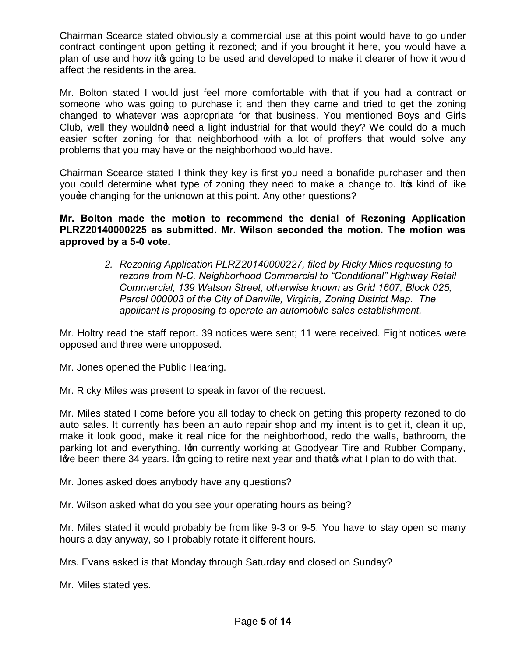Chairman Scearce stated obviously a commercial use at this point would have to go under contract contingent upon getting it rezoned; and if you brought it here, you would have a plan of use and how it og going to be used and developed to make it clearer of how it would affect the residents in the area.

Mr. Bolton stated I would just feel more comfortable with that if you had a contract or someone who was going to purchase it and then they came and tried to get the zoning changed to whatever was appropriate for that business. You mentioned Boys and Girls Club, well they wouldng need a light industrial for that would they? We could do a much easier softer zoning for that neighborhood with a lot of proffers that would solve any problems that you may have or the neighborhood would have.

Chairman Scearce stated I think they key is first you need a bonafide purchaser and then you could determine what type of zoning they need to make a change to. It to kind of like youge changing for the unknown at this point. Any other questions?

**Mr. Bolton made the motion to recommend the denial of Rezoning Application PLRZ20140000225 as submitted. Mr. Wilson seconded the motion. The motion was approved by a 5-0 vote.** 

> *2. Rezoning Application PLRZ20140000227, filed by Ricky Miles requesting to rezone from N-C, Neighborhood Commercial to "Conditional" Highway Retail Commercial, 139 Watson Street, otherwise known as Grid 1607, Block 025, Parcel 000003 of the City of Danville, Virginia, Zoning District Map. The applicant is proposing to operate an automobile sales establishment.*

Mr. Holtry read the staff report. 39 notices were sent; 11 were received. Eight notices were opposed and three were unopposed.

Mr. Jones opened the Public Hearing.

Mr. Ricky Miles was present to speak in favor of the request.

Mr. Miles stated I come before you all today to check on getting this property rezoned to do auto sales. It currently has been an auto repair shop and my intent is to get it, clean it up, make it look good, make it real nice for the neighborhood, redo the walls, bathroom, the parking lot and everything. Ign currently working at Goodyear Tire and Rubber Company, I are been there 34 years. Ign going to retire next year and that os what I plan to do with that.

Mr. Jones asked does anybody have any questions?

Mr. Wilson asked what do you see your operating hours as being?

Mr. Miles stated it would probably be from like 9-3 or 9-5. You have to stay open so many hours a day anyway, so I probably rotate it different hours.

Mrs. Evans asked is that Monday through Saturday and closed on Sunday?

Mr. Miles stated yes.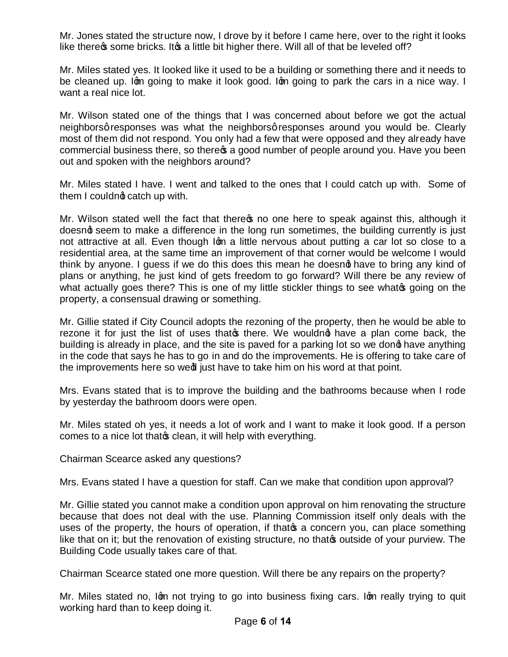Mr. Jones stated the structure now, I drove by it before I came here, over to the right it looks like there there some bricks. It to a little bit higher there. Will all of that be leveled off?

Mr. Miles stated yes. It looked like it used to be a building or something there and it needs to be cleaned up. Ign going to make it look good. Ign going to park the cars in a nice way. I want a real nice lot.

Mr. Wilson stated one of the things that I was concerned about before we got the actual neighborsg responses was what the neighborsg responses around you would be. Clearly most of them did not respond. You only had a few that were opposed and they already have commercial business there, so there  $\alpha$  a good number of people around you. Have you been out and spoken with the neighbors around?

Mr. Miles stated I have. I went and talked to the ones that I could catch up with. Some of them I couldnd catch up with.

Mr. Wilson stated well the fact that there to one here to speak against this, although it doesnd seem to make a difference in the long run sometimes, the building currently is just not attractive at all. Even though Ign a little nervous about putting a car lot so close to a residential area, at the same time an improvement of that corner would be welcome I would think by anyone. I guess if we do this does this mean he doesnot have to bring any kind of plans or anything, he just kind of gets freedom to go forward? Will there be any review of what actually goes there? This is one of my little stickler things to see whate going on the property, a consensual drawing or something.

Mr. Gillie stated if City Council adopts the rezoning of the property, then he would be able to rezone it for just the list of uses that there. We wouldnot have a plan come back, the building is already in place, and the site is paved for a parking lot so we dong have anything in the code that says he has to go in and do the improvements. He is offering to take care of the improvements here so wed just have to take him on his word at that point.

Mrs. Evans stated that is to improve the building and the bathrooms because when I rode by yesterday the bathroom doors were open.

Mr. Miles stated oh yes, it needs a lot of work and I want to make it look good. If a person comes to a nice lot that that clean, it will help with everything.

Chairman Scearce asked any questions?

Mrs. Evans stated I have a question for staff. Can we make that condition upon approval?

Mr. Gillie stated you cannot make a condition upon approval on him renovating the structure because that does not deal with the use. Planning Commission itself only deals with the uses of the property, the hours of operation, if that **s** a concern you, can place something like that on it; but the renovation of existing structure, no that outside of your purview. The Building Code usually takes care of that.

Chairman Scearce stated one more question. Will there be any repairs on the property?

Mr. Miles stated no, Ign not trying to go into business fixing cars. Ign really trying to quit working hard than to keep doing it.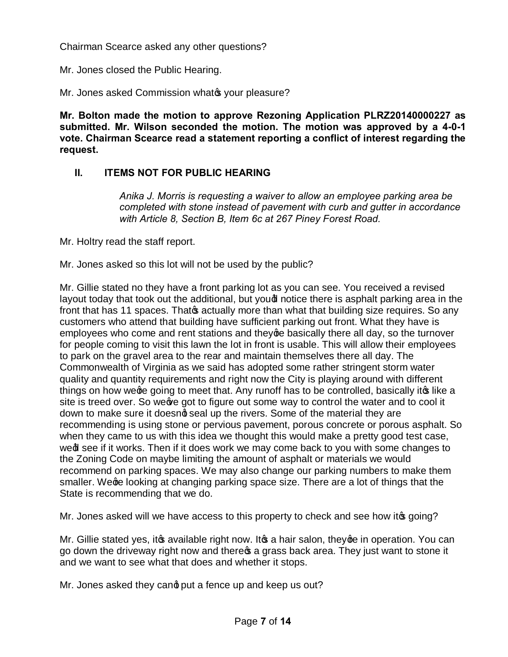Chairman Scearce asked any other questions?

Mr. Jones closed the Public Hearing.

Mr. Jones asked Commission whate your pleasure?

**Mr. Bolton made the motion to approve Rezoning Application PLRZ20140000227 as submitted. Mr. Wilson seconded the motion. The motion was approved by a 4-0-1 vote. Chairman Scearce read a statement reporting a conflict of interest regarding the request.**

# **II. ITEMS NOT FOR PUBLIC HEARING**

*Anika J. Morris is requesting a waiver to allow an employee parking area be completed with stone instead of pavement with curb and gutter in accordance with Article 8, Section B, Item 6c at 267 Piney Forest Road.*

Mr. Holtry read the staff report.

Mr. Jones asked so this lot will not be used by the public?

Mr. Gillie stated no they have a front parking lot as you can see. You received a revised layout today that took out the additional, but youd notice there is asphalt parking area in the front that has 11 spaces. Thato actually more than what that building size requires. So any customers who attend that building have sufficient parking out front. What they have is employees who come and rent stations and they ge basically there all day, so the turnover for people coming to visit this lawn the lot in front is usable. This will allow their employees to park on the gravel area to the rear and maintain themselves there all day. The Commonwealth of Virginia as we said has adopted some rather stringent storm water quality and quantity requirements and right now the City is playing around with different things on how weo e going to meet that. Any runoff has to be controlled, basically ito like a site is treed over. So we we got to figure out some way to control the water and to cool it down to make sure it doesnot seal up the rivers. Some of the material they are recommending is using stone or pervious pavement, porous concrete or porous asphalt. So when they came to us with this idea we thought this would make a pretty good test case, wed see if it works. Then if it does work we may come back to you with some changes to the Zoning Code on maybe limiting the amount of asphalt or materials we would recommend on parking spaces. We may also change our parking numbers to make them smaller. We ge looking at changing parking space size. There are a lot of things that the State is recommending that we do.

Mr. Jones asked will we have access to this property to check and see how it og going?

Mr. Gillie stated yes, it as available right now. It as a hair salon, they ge in operation. You can go down the driveway right now and there  $\alpha$  a grass back area. They just want to stone it and we want to see what that does and whether it stops.

Mr. Jones asked they cand put a fence up and keep us out?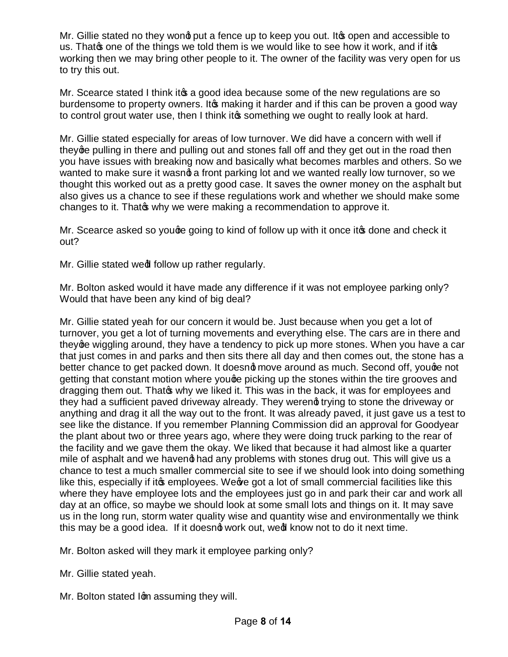Mr. Gillie stated no they wond put a fence up to keep you out. It to open and accessible to us. That one of the things we told them is we would like to see how it work, and if it op working then we may bring other people to it. The owner of the facility was very open for us to try this out.

Mr. Scearce stated I think it a good idea because some of the new regulations are so burdensome to property owners. It to making it harder and if this can be proven a good way to control grout water use, then I think it to something we ought to really look at hard.

Mr. Gillie stated especially for areas of low turnover. We did have a concern with well if they ge pulling in there and pulling out and stones fall off and they get out in the road then you have issues with breaking now and basically what becomes marbles and others. So we wanted to make sure it wasnot a front parking lot and we wanted really low turnover, so we thought this worked out as a pretty good case. It saves the owner money on the asphalt but also gives us a chance to see if these regulations work and whether we should make some changes to it. That why we were making a recommendation to approve it.

Mr. Scearce asked so youge going to kind of follow up with it once it to done and check it out?

Mr. Gillie stated wed follow up rather regularly.

Mr. Bolton asked would it have made any difference if it was not employee parking only? Would that have been any kind of big deal?

Mr. Gillie stated yeah for our concern it would be. Just because when you get a lot of turnover, you get a lot of turning movements and everything else. The cars are in there and they ge wiggling around, they have a tendency to pick up more stones. When you have a car that just comes in and parks and then sits there all day and then comes out, the stone has a better chance to get packed down. It doesno move around as much. Second off, youge not getting that constant motion where youge picking up the stones within the tire grooves and dragging them out. That why we liked it. This was in the back, it was for employees and they had a sufficient paved driveway already. They werend trying to stone the driveway or anything and drag it all the way out to the front. It was already paved, it just gave us a test to see like the distance. If you remember Planning Commission did an approval for Goodyear the plant about two or three years ago, where they were doing truck parking to the rear of the facility and we gave them the okay. We liked that because it had almost like a quarter mile of asphalt and we haveng had any problems with stones drug out. This will give us a chance to test a much smaller commercial site to see if we should look into doing something like this, especially if it a employees. We ve got a lot of small commercial facilities like this where they have employee lots and the employees just go in and park their car and work all day at an office, so maybe we should look at some small lots and things on it. It may save us in the long run, storm water quality wise and quantity wise and environmentally we think this may be a good idea. If it doesng work out, wed know not to do it next time.

Mr. Bolton asked will they mark it employee parking only?

Mr. Gillie stated yeah.

Mr. Bolton stated Ign assuming they will.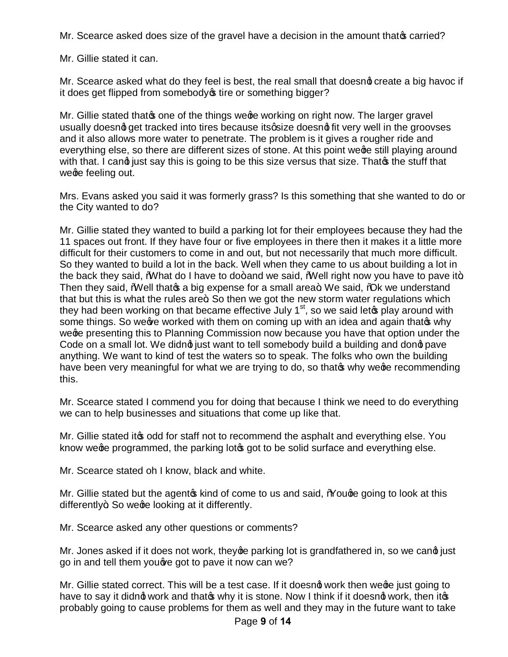Mr. Scearce asked does size of the gravel have a decision in the amount that opcarried?

Mr. Gillie stated it can.

Mr. Scearce asked what do they feel is best, the real small that doesnot create a big havoc if it does get flipped from somebody of tire or something bigger?

Mr. Gillie stated that one of the things we ge working on right now. The larger gravel usually doesnot get tracked into tires because its gize doesnot fit very well in the groovses and it also allows more water to penetrate. The problem is it gives a rougher ride and everything else, so there are different sizes of stone. At this point wege still playing around with that. I cand just say this is going to be this size versus that size. That the stuff that wege feeling out.

Mrs. Evans asked you said it was formerly grass? Is this something that she wanted to do or the City wanted to do?

Mr. Gillie stated they wanted to build a parking lot for their employees because they had the 11 spaces out front. If they have four or five employees in there then it makes it a little more difficult for their customers to come in and out, but not necessarily that much more difficult. So they wanted to build a lot in the back. Well when they came to us about building a lot in the back they said,  $W$  hat do I have to do + and we said,  $W$  ell right now you have to pave it +. Then they said, "Well that op a big expense for a small area. We said, "Ook we understand that but this is what the rules are  $\pm$ . So then we got the new storm water regulations which they had been working on that became effective July  $1<sup>st</sup>$ , so we said leto play around with some things. So we we worked with them on coming up with an idea and again thatos why wege presenting this to Planning Commission now because you have that option under the Code on a small lot. We didng just want to tell somebody build a building and dong pave anything. We want to kind of test the waters so to speak. The folks who own the building have been very meaningful for what we are trying to do, so that why we ge recommending this.

Mr. Scearce stated I commend you for doing that because I think we need to do everything we can to help businesses and situations that come up like that.

Mr. Gillie stated it to odd for staff not to recommend the asphalt and everything else. You know we ge programmed, the parking lot to be solid surface and everything else.

Mr. Scearce stated oh I know, black and white.

Mr. Gillie stated but the agent is kind of come to us and said, % Souge going to look at this differently+. So wege looking at it differently.

Mr. Scearce asked any other questions or comments?

Mr. Jones asked if it does not work, they ge parking lot is grandfathered in, so we cand just go in and tell them you are got to pave it now can we?

Mr. Gillie stated correct. This will be a test case. If it doesnot work then wege just going to have to say it didng work and thatos why it is stone. Now I think if it doesng work, then itos probably going to cause problems for them as well and they may in the future want to take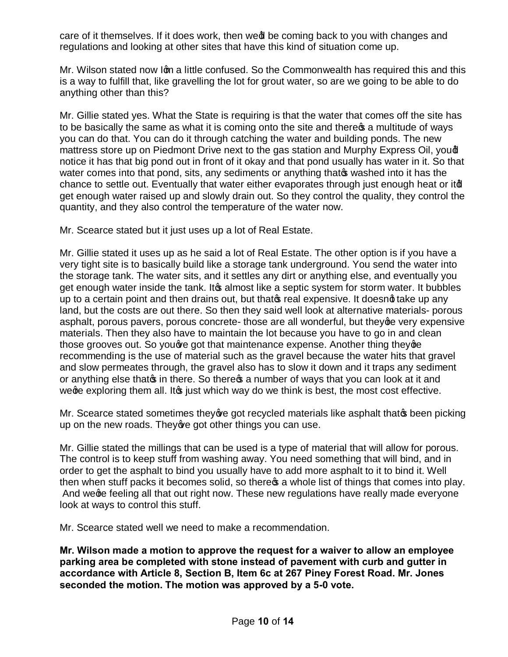care of it themselves. If it does work, then wed be coming back to you with changes and regulations and looking at other sites that have this kind of situation come up.

Mr. Wilson stated now Igm a little confused. So the Commonwealth has required this and this is a way to fulfill that, like gravelling the lot for grout water, so are we going to be able to do anything other than this?

Mr. Gillie stated yes. What the State is requiring is that the water that comes off the site has to be basically the same as what it is coming onto the site and there  $\alpha$  a multitude of ways you can do that. You can do it through catching the water and building ponds. The new mattress store up on Piedmont Drive next to the gas station and Murphy Express Oil, youd notice it has that big pond out in front of it okay and that pond usually has water in it. So that water comes into that pond, sits, any sediments or anything that washed into it has the chance to settle out. Eventually that water either evaporates through just enough heat or itd get enough water raised up and slowly drain out. So they control the quality, they control the quantity, and they also control the temperature of the water now.

Mr. Scearce stated but it just uses up a lot of Real Estate.

Mr. Gillie stated it uses up as he said a lot of Real Estate. The other option is if you have a very tight site is to basically build like a storage tank underground. You send the water into the storage tank. The water sits, and it settles any dirt or anything else, and eventually you get enough water inside the tank. It a almost like a septic system for storm water. It bubbles up to a certain point and then drains out, but that of real expensive. It doesnot take up any land, but the costs are out there. So then they said well look at alternative materials- porous asphalt, porous pavers, porous concrete- those are all wonderful, but they ge very expensive materials. Then they also have to maintain the lot because you have to go in and clean those grooves out. So you are got that maintenance expense. Another thing they ge recommending is the use of material such as the gravel because the water hits that gravel and slow permeates through, the gravel also has to slow it down and it traps any sediment or anything else that in there. So there a number of ways that you can look at it and we ge exploring them all. It is just which way do we think is best, the most cost effective.

Mr. Scearce stated sometimes they are got recycled materials like asphalt that  $\infty$  been picking up on the new roads. They we got other things you can use.

Mr. Gillie stated the millings that can be used is a type of material that will allow for porous. The control is to keep stuff from washing away. You need something that will bind, and in order to get the asphalt to bind you usually have to add more asphalt to it to bind it. Well then when stuff packs it becomes solid, so there  $\alpha$  a whole list of things that comes into play. And we ge feeling all that out right now. These new regulations have really made everyone look at ways to control this stuff.

Mr. Scearce stated well we need to make a recommendation.

**Mr. Wilson made a motion to approve the request for a waiver to allow an employee parking area be completed with stone instead of pavement with curb and gutter in accordance with Article 8, Section B, Item 6c at 267 Piney Forest Road. Mr. Jones seconded the motion. The motion was approved by a 5-0 vote.**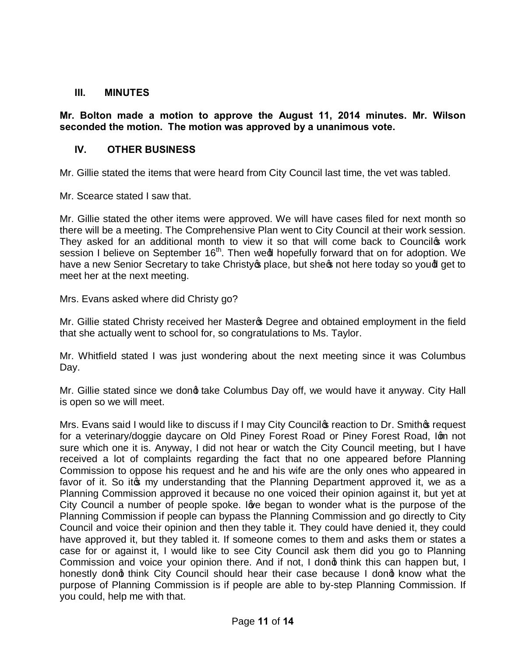#### **III. MINUTES**

**Mr. Bolton made a motion to approve the August 11, 2014 minutes. Mr. Wilson seconded the motion. The motion was approved by a unanimous vote.**

### **IV. OTHER BUSINESS**

Mr. Gillie stated the items that were heard from City Council last time, the vet was tabled.

Mr. Scearce stated I saw that.

Mr. Gillie stated the other items were approved. We will have cases filed for next month so there will be a meeting. The Comprehensive Plan went to City Council at their work session. They asked for an additional month to view it so that will come back to Councilos work session I believe on September 16<sup>th</sup>. Then wedl hopefully forward that on for adoption. We have a new Senior Secretary to take Christy place, but she not here today so youd get to meet her at the next meeting.

Mrs. Evans asked where did Christy go?

Mr. Gillie stated Christy received her Master **S** Degree and obtained employment in the field that she actually went to school for, so congratulations to Ms. Taylor.

Mr. Whitfield stated I was just wondering about the next meeting since it was Columbus Day.

Mr. Gillie stated since we dong take Columbus Day off, we would have it anyway. City Hall is open so we will meet.

Mrs. Evans said I would like to discuss if I may City Councilos reaction to Dr. Smithos request for a veterinary/doggie daycare on Old Piney Forest Road or Piney Forest Road, Ign not sure which one it is. Anyway, I did not hear or watch the City Council meeting, but I have received a lot of complaints regarding the fact that no one appeared before Planning Commission to oppose his request and he and his wife are the only ones who appeared in favor of it. So it only understanding that the Planning Department approved it, we as a Planning Commission approved it because no one voiced their opinion against it, but yet at City Council a number of people spoke. Ig the began to wonder what is the purpose of the Planning Commission if people can bypass the Planning Commission and go directly to City Council and voice their opinion and then they table it. They could have denied it, they could have approved it, but they tabled it. If someone comes to them and asks them or states a case for or against it, I would like to see City Council ask them did you go to Planning Commission and voice your opinion there. And if not, I dong think this can happen but, I honestly dong think City Council should hear their case because I dong know what the purpose of Planning Commission is if people are able to by-step Planning Commission. If you could, help me with that.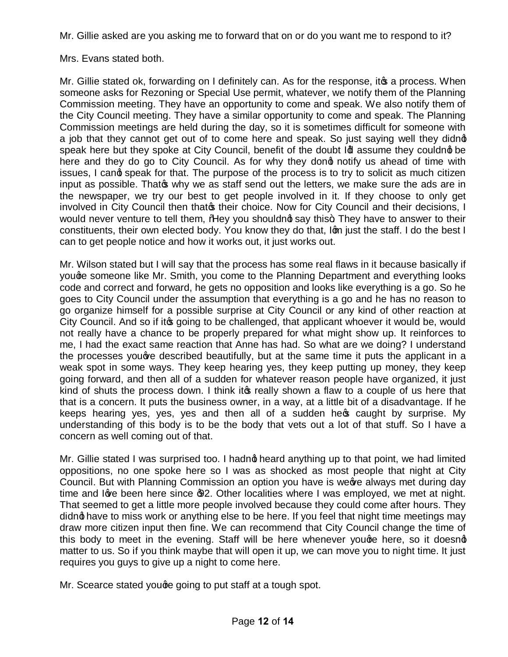Mr. Gillie asked are you asking me to forward that on or do you want me to respond to it?

Mrs. Evans stated both.

Mr. Gillie stated ok, forwarding on I definitely can. As for the response, it a process. When someone asks for Rezoning or Special Use permit, whatever, we notify them of the Planning Commission meeting. They have an opportunity to come and speak. We also notify them of the City Council meeting. They have a similar opportunity to come and speak. The Planning Commission meetings are held during the day, so it is sometimes difficult for someone with a job that they cannot get out of to come here and speak. So just saying well they didnot speak here but they spoke at City Council, benefit of the doubt Id assume they couldnot be here and they do go to City Council. As for why they dong notify us ahead of time with issues, I cand speak for that. The purpose of the process is to try to solicit as much citizen input as possible. That of why we as staff send out the letters, we make sure the ads are in the newspaper, we try our best to get people involved in it. If they choose to only get involved in City Council then that their choice. Now for City Council and their decisions, I would never venture to tell them, % Hey you shouldnot say this+. They have to answer to their constituents, their own elected body. You know they do that, I'm just the staff. I do the best I can to get people notice and how it works out, it just works out.

Mr. Wilson stated but I will say that the process has some real flaws in it because basically if youge someone like Mr. Smith, you come to the Planning Department and everything looks code and correct and forward, he gets no opposition and looks like everything is a go. So he goes to City Council under the assumption that everything is a go and he has no reason to go organize himself for a possible surprise at City Council or any kind of other reaction at City Council. And so if it going to be challenged, that applicant whoever it would be, would not really have a chance to be properly prepared for what might show up. It reinforces to me, I had the exact same reaction that Anne has had. So what are we doing? I understand the processes youge described beautifully, but at the same time it puts the applicant in a weak spot in some ways. They keep hearing yes, they keep putting up money, they keep going forward, and then all of a sudden for whatever reason people have organized, it just kind of shuts the process down. I think it to really shown a flaw to a couple of us here that that is a concern. It puts the business owner, in a way, at a little bit of a disadvantage. If he keeps hearing yes, yes, yes and then all of a sudden her caught by surprise. My understanding of this body is to be the body that vets out a lot of that stuff. So I have a concern as well coming out of that.

Mr. Gillie stated I was surprised too. I hadnot heard anything up to that point, we had limited oppositions, no one spoke here so I was as shocked as most people that night at City Council. But with Planning Commission an option you have is weeve always met during day time and love been here since  $\mathcal{D}2$ . Other localities where I was employed, we met at night. That seemed to get a little more people involved because they could come after hours. They didng have to miss work or anything else to be here. If you feel that night time meetings may draw more citizen input then fine. We can recommend that City Council change the time of this body to meet in the evening. Staff will be here whenever youge here, so it doesng matter to us. So if you think maybe that will open it up, we can move you to night time. It just requires you guys to give up a night to come here.

Mr. Scearce stated youge going to put staff at a tough spot.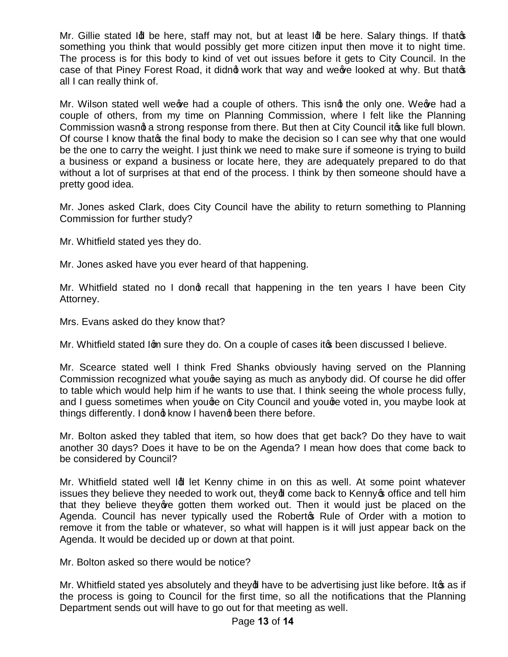Mr. Gillie stated  $\mathsf{Id}$  be here, staff may not, but at least  $\mathsf{Id}$  be here. Salary things. If that  $\mathsf{S}$ something you think that would possibly get more citizen input then move it to night time. The process is for this body to kind of vet out issues before it gets to City Council. In the case of that Piney Forest Road, it didng work that way and we we looked at why. But that op all I can really think of.

Mr. Wilson stated well we we had a couple of others. This isnit the only one. We we had a couple of others, from my time on Planning Commission, where I felt like the Planning Commission wasng a strong response from there. But then at City Council ito like full blown. Of course I know that of the final body to make the decision so I can see why that one would be the one to carry the weight. I just think we need to make sure if someone is trying to build a business or expand a business or locate here, they are adequately prepared to do that without a lot of surprises at that end of the process. I think by then someone should have a pretty good idea.

Mr. Jones asked Clark, does City Council have the ability to return something to Planning Commission for further study?

Mr. Whitfield stated yes they do.

Mr. Jones asked have you ever heard of that happening.

Mr. Whitfield stated no I dong recall that happening in the ten years I have been City Attorney.

Mrs. Evans asked do they know that?

Mr. Whitfield stated Ign sure they do. On a couple of cases it to been discussed I believe.

Mr. Scearce stated well I think Fred Shanks obviously having served on the Planning Commission recognized what youge saying as much as anybody did. Of course he did offer to table which would help him if he wants to use that. I think seeing the whole process fully, and I guess sometimes when youge on City Council and youge voted in, you maybe look at things differently. I dond know I havend been there before.

Mr. Bolton asked they tabled that item, so how does that get back? Do they have to wait another 30 days? Does it have to be on the Agenda? I mean how does that come back to be considered by Council?

Mr. Whitfield stated well Id let Kenny chime in on this as well. At some point whatever issues they believe they needed to work out, they of come back to Kenny of office and tell him that they believe they ye gotten them worked out. Then it would just be placed on the Agenda. Council has never typically used the Roberto Rule of Order with a motion to remove it from the table or whatever, so what will happen is it will just appear back on the Agenda. It would be decided up or down at that point.

Mr. Bolton asked so there would be notice?

Mr. Whitfield stated yes absolutely and they of have to be advertising just like before. It  $\sigma$  as if the process is going to Council for the first time, so all the notifications that the Planning Department sends out will have to go out for that meeting as well.